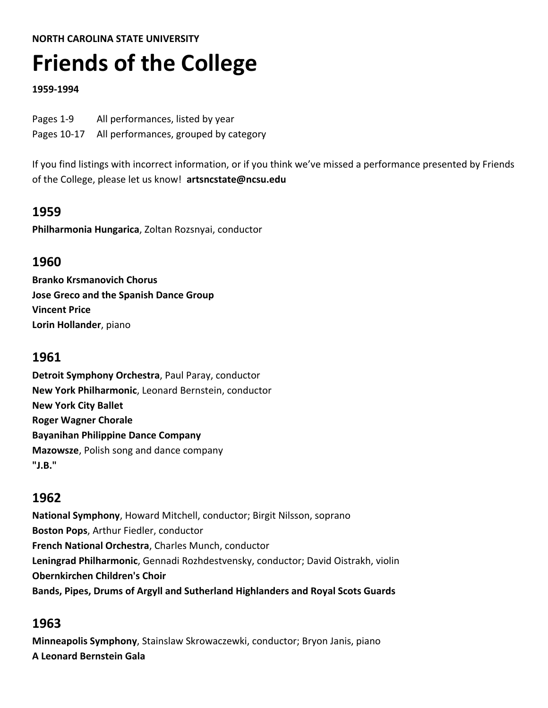#### **NORTH CAROLINA STATE UNIVERSITY**

# **Friends of the College**

#### **1959‐1994**

| Pages 1-9   | All performances, listed by year      |
|-------------|---------------------------------------|
| Pages 10-17 | All performances, grouped by category |

If you find listings with incorrect information, or if you think we've missed a performance presented by Friends of the College, please let us know! **artsncstate@ncsu.edu**

## **1959**

**Philharmonia Hungarica**, Zoltan Rozsnyai, conductor

## **1960**

**Branko Krsmanovich Chorus Jose Greco and the Spanish Dance Group Vincent Price Lorin Hollander**, piano

## **1961**

**Detroit Symphony Orchestra**, Paul Paray, conductor **New York Philharmonic**, Leonard Bernstein, conductor **New York City Ballet Roger Wagner Chorale Bayanihan Philippine Dance Company Mazowsze**, Polish song and dance company **"J.B."**

## **1962**

**National Symphony**, Howard Mitchell, conductor; Birgit Nilsson, soprano **Boston Pops**, Arthur Fiedler, conductor **French National Orchestra**, Charles Munch, conductor **Leningrad Philharmonic**, Gennadi Rozhdestvensky, conductor; David Oistrakh, violin **Obernkirchen Children's Choir Bands, Pipes, Drums of Argyll and Sutherland Highlanders and Royal Scots Guards** 

# **1963**

**Minneapolis Symphony**, Stainslaw Skrowaczewki, conductor; Bryon Janis, piano **A Leonard Bernstein Gala**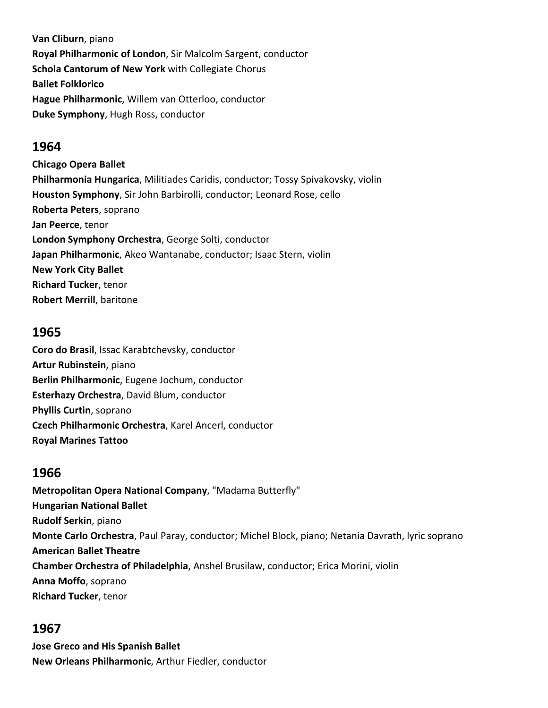**Van Cliburn**, piano **Royal Philharmonic of London**, Sir Malcolm Sargent, conductor **Schola Cantorum of New York** with Collegiate Chorus **Ballet Folklorico Hague Philharmonic**, Willem van Otterloo, conductor **Duke Symphony**, Hugh Ross, conductor

#### **1964**

**Chicago Opera Ballet Philharmonia Hungarica**, Militiades Caridis, conductor; Tossy Spivakovsky, violin **Houston Symphony**, Sir John Barbirolli, conductor; Leonard Rose, cello **Roberta Peters**, soprano **Jan Peerce**, tenor **London Symphony Orchestra**, George Solti, conductor **Japan Philharmonic**, Akeo Wantanabe, conductor; Isaac Stern, violin **New York City Ballet Richard Tucker**, tenor **Robert Merrill**, baritone

#### **1965**

**Coro do Brasil**, Issac Karabtchevsky, conductor **Artur Rubinstein**, piano **Berlin Philharmonic**, Eugene Jochum, conductor **Esterhazy Orchestra**, David Blum, conductor **Phyllis Curtin**, soprano **Czech Philharmonic Orchestra**, Karel Ancerl, conductor **Royal Marines Tattoo**

#### **1966**

**Metropolitan Opera National Company**, "Madama Butterfly" **Hungarian National Ballet Rudolf Serkin**, piano **Monte Carlo Orchestra**, Paul Paray, conductor; Michel Block, piano; Netania Davrath, lyric soprano **American Ballet Theatre Chamber Orchestra of Philadelphia**, Anshel Brusilaw, conductor; Erica Morini, violin **Anna Moffo**, soprano **Richard Tucker**, tenor

#### **1967**

**Jose Greco and His Spanish Ballet New Orleans Philharmonic**, Arthur Fiedler, conductor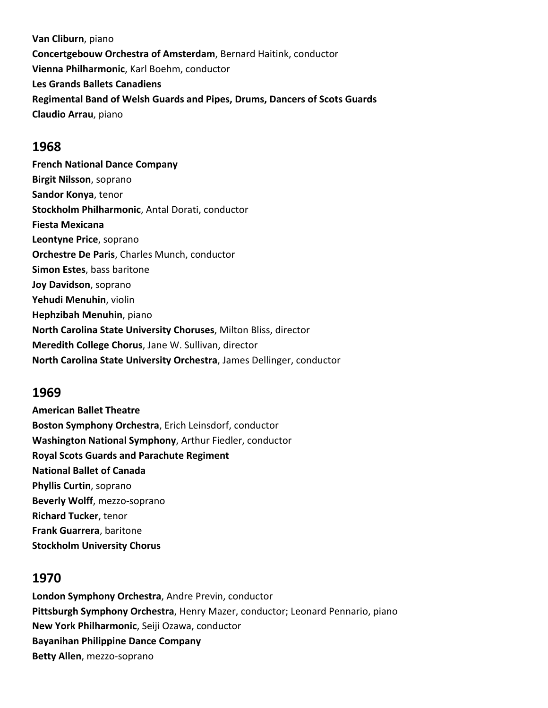**Van Cliburn**, piano **Concertgebouw Orchestra of Amsterdam**, Bernard Haitink, conductor **Vienna Philharmonic**, Karl Boehm, conductor **Les Grands Ballets Canadiens Regimental Band of Welsh Guards and Pipes, Drums, Dancers of Scots Guards Claudio Arrau**, piano

#### **1968**

**French National Dance Company Birgit Nilsson**, soprano **Sandor Konya**, tenor **Stockholm Philharmonic**, Antal Dorati, conductor **Fiesta Mexicana Leontyne Price**, soprano **Orchestre De Paris**, Charles Munch, conductor **Simon Estes**, bass baritone **Joy Davidson**, soprano **Yehudi Menuhin**, violin **Hephzibah Menuhin**, piano **North Carolina State University Choruses**, Milton Bliss, director **Meredith College Chorus**, Jane W. Sullivan, director **North Carolina State University Orchestra**, James Dellinger, conductor

#### **1969**

**American Ballet Theatre Boston Symphony Orchestra**, Erich Leinsdorf, conductor **Washington National Symphony**, Arthur Fiedler, conductor **Royal Scots Guards and Parachute Regiment National Ballet of Canada Phyllis Curtin**, soprano **Beverly Wolff**, mezzo‐soprano **Richard Tucker**, tenor **Frank Guarrera**, baritone **Stockholm University Chorus**

## **1970**

**London Symphony Orchestra**, Andre Previn, conductor **Pittsburgh Symphony Orchestra**, Henry Mazer, conductor; Leonard Pennario, piano **New York Philharmonic**, Seiji Ozawa, conductor **Bayanihan Philippine Dance Company Betty Allen**, mezzo‐soprano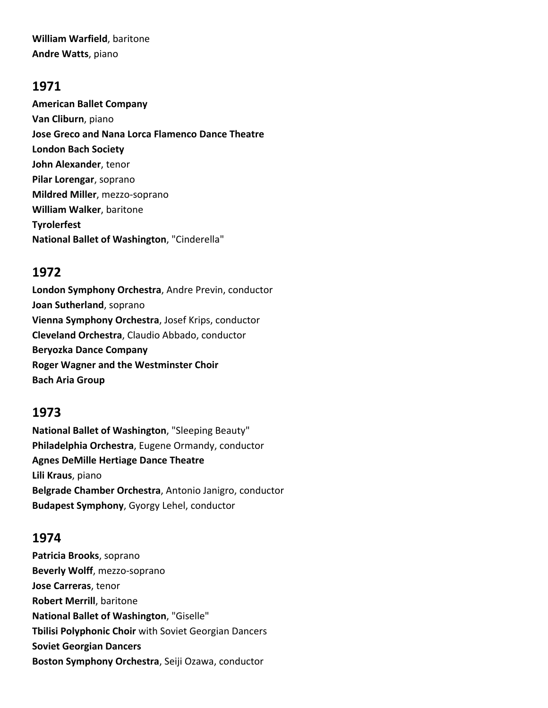**William Warfield**, baritone **Andre Watts**, piano

#### **1971**

**American Ballet Company Van Cliburn**, piano **Jose Greco and Nana Lorca Flamenco Dance Theatre London Bach Society John Alexander**, tenor **Pilar Lorengar**, soprano **Mildred Miller**, mezzo‐soprano **William Walker**, baritone **Tyrolerfest National Ballet of Washington**, "Cinderella"

## **1972**

**London Symphony Orchestra**, Andre Previn, conductor **Joan Sutherland**, soprano **Vienna Symphony Orchestra**, Josef Krips, conductor **Cleveland Orchestra**, Claudio Abbado, conductor **Beryozka Dance Company Roger Wagner and the Westminster Choir Bach Aria Group** 

## **1973**

**National Ballet of Washington**, "Sleeping Beauty" **Philadelphia Orchestra**, Eugene Ormandy, conductor **Agnes DeMille Hertiage Dance Theatre Lili Kraus**, piano **Belgrade Chamber Orchestra**, Antonio Janigro, conductor **Budapest Symphony**, Gyorgy Lehel, conductor

# **1974**

**Patricia Brooks**, soprano **Beverly Wolff**, mezzo‐soprano **Jose Carreras**, tenor **Robert Merrill**, baritone **National Ballet of Washington**, "Giselle" **Tbilisi Polyphonic Choir** with Soviet Georgian Dancers **Soviet Georgian Dancers Boston Symphony Orchestra**, Seiji Ozawa, conductor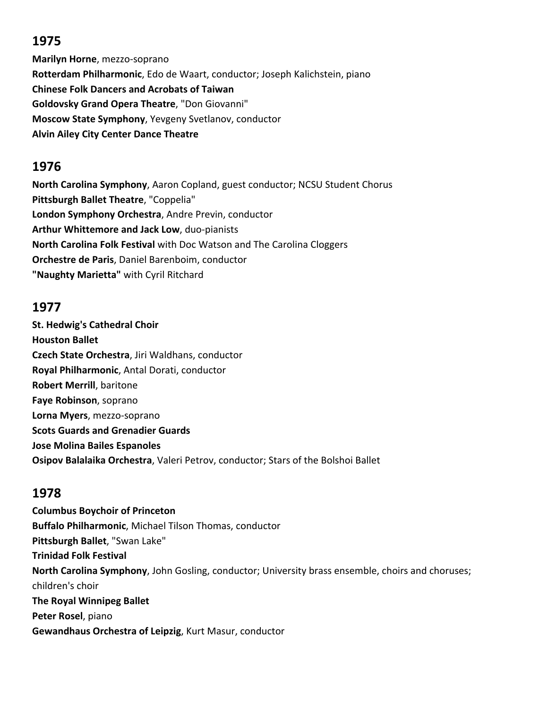# **1975**

**Marilyn Horne**, mezzo‐soprano **Rotterdam Philharmonic**, Edo de Waart, conductor; Joseph Kalichstein, piano **Chinese Folk Dancers and Acrobats of Taiwan Goldovsky Grand Opera Theatre**, "Don Giovanni" **Moscow State Symphony**, Yevgeny Svetlanov, conductor **Alvin Ailey City Center Dance Theatre** 

# **1976**

**North Carolina Symphony**, Aaron Copland, guest conductor; NCSU Student Chorus **Pittsburgh Ballet Theatre**, "Coppelia" **London Symphony Orchestra**, Andre Previn, conductor **Arthur Whittemore and Jack Low**, duo‐pianists **North Carolina Folk Festival** with Doc Watson and The Carolina Cloggers **Orchestre de Paris**, Daniel Barenboim, conductor **"Naughty Marietta"** with Cyril Ritchard

## **1977**

**St. Hedwig's Cathedral Choir Houston Ballet Czech State Orchestra**, Jiri Waldhans, conductor **Royal Philharmonic**, Antal Dorati, conductor **Robert Merrill**, baritone **Faye Robinson**, soprano **Lorna Myers**, mezzo‐soprano **Scots Guards and Grenadier Guards Jose Molina Bailes Espanoles Osipov Balalaika Orchestra**, Valeri Petrov, conductor; Stars of the Bolshoi Ballet

# **1978**

**Columbus Boychoir of Princeton Buffalo Philharmonic**, Michael Tilson Thomas, conductor **Pittsburgh Ballet**, "Swan Lake" **Trinidad Folk Festival North Carolina Symphony**, John Gosling, conductor; University brass ensemble, choirs and choruses; children's choir **The Royal Winnipeg Ballet Peter Rosel**, piano **Gewandhaus Orchestra of Leipzig**, Kurt Masur, conductor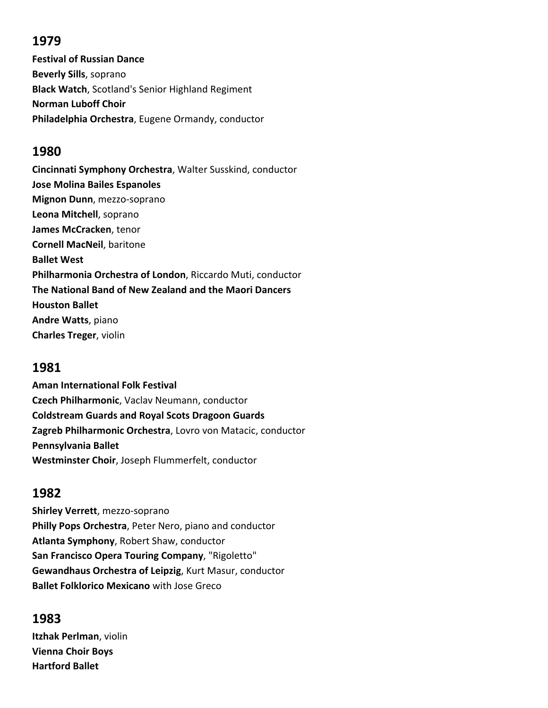# **1979**

**Festival of Russian Dance Beverly Sills**, soprano **Black Watch**, Scotland's Senior Highland Regiment **Norman Luboff Choir Philadelphia Orchestra**, Eugene Ormandy, conductor

# **1980**

**Cincinnati Symphony Orchestra**, Walter Susskind, conductor **Jose Molina Bailes Espanoles Mignon Dunn**, mezzo‐soprano **Leona Mitchell**, soprano **James McCracken**, tenor **Cornell MacNeil**, baritone **Ballet West Philharmonia Orchestra of London**, Riccardo Muti, conductor **The National Band of New Zealand and the Maori Dancers Houston Ballet Andre Watts**, piano **Charles Treger**, violin

# **1981**

**Aman International Folk Festival Czech Philharmonic**, Vaclav Neumann, conductor **Coldstream Guards and Royal Scots Dragoon Guards Zagreb Philharmonic Orchestra**, Lovro von Matacic, conductor **Pennsylvania Ballet Westminster Choir**, Joseph Flummerfelt, conductor

# **1982**

**Shirley Verrett**, mezzo‐soprano **Philly Pops Orchestra**, Peter Nero, piano and conductor **Atlanta Symphony**, Robert Shaw, conductor **San Francisco Opera Touring Company**, "Rigoletto" **Gewandhaus Orchestra of Leipzig**, Kurt Masur, conductor **Ballet Folklorico Mexicano** with Jose Greco

# **1983**

**Itzhak Perlman**, violin **Vienna Choir Boys Hartford Ballet**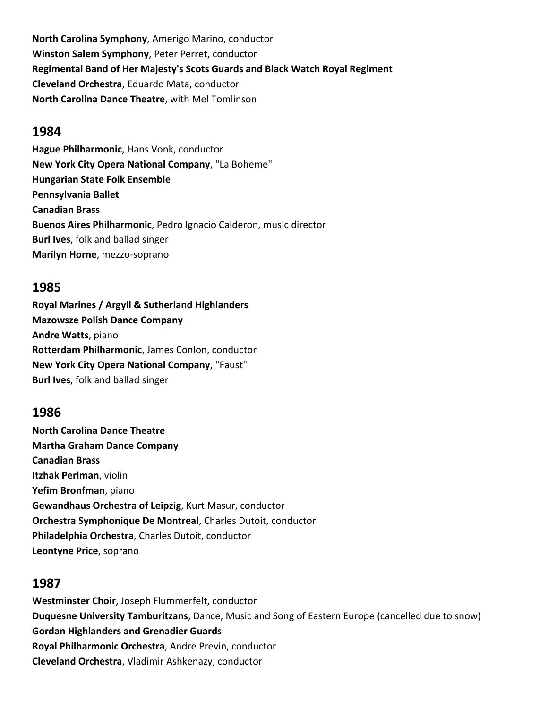**North Carolina Symphony**, Amerigo Marino, conductor **Winston Salem Symphony**, Peter Perret, conductor **Regimental Band of Her Majesty's Scots Guards and Black Watch Royal Regiment Cleveland Orchestra**, Eduardo Mata, conductor **North Carolina Dance Theatre**, with Mel Tomlinson

#### **1984**

**Hague Philharmonic**, Hans Vonk, conductor **New York City Opera National Company**, "La Boheme" **Hungarian State Folk Ensemble Pennsylvania Ballet Canadian Brass Buenos Aires Philharmonic**, Pedro Ignacio Calderon, music director **Burl Ives**, folk and ballad singer **Marilyn Horne**, mezzo‐soprano

#### **1985**

**Royal Marines / Argyll & Sutherland Highlanders Mazowsze Polish Dance Company Andre Watts**, piano **Rotterdam Philharmonic**, James Conlon, conductor **New York City Opera National Company**, "Faust" **Burl Ives**, folk and ballad singer

## **1986**

**North Carolina Dance Theatre Martha Graham Dance Company Canadian Brass Itzhak Perlman**, violin **Yefim Bronfman**, piano **Gewandhaus Orchestra of Leipzig**, Kurt Masur, conductor **Orchestra Symphonique De Montreal**, Charles Dutoit, conductor **Philadelphia Orchestra**, Charles Dutoit, conductor **Leontyne Price**, soprano

#### **1987**

**Westminster Choir**, Joseph Flummerfelt, conductor **Duquesne University Tamburitzans**, Dance, Music and Song of Eastern Europe (cancelled due to snow) **Gordan Highlanders and Grenadier Guards Royal Philharmonic Orchestra**, Andre Previn, conductor **Cleveland Orchestra**, Vladimir Ashkenazy, conductor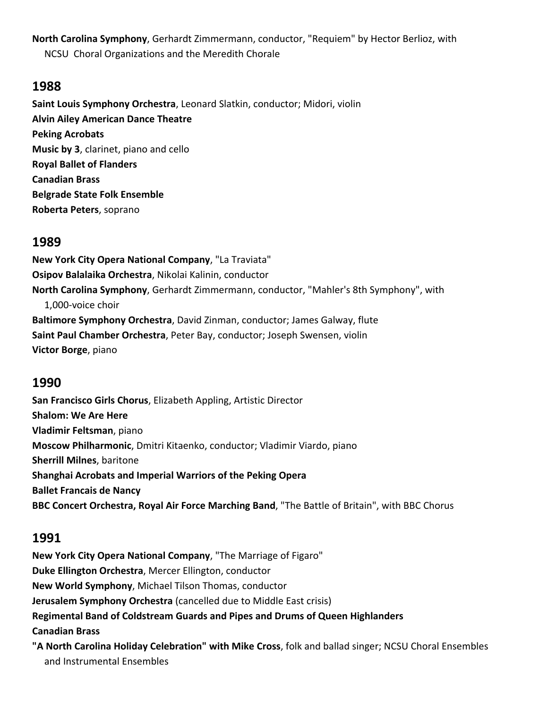**North Carolina Symphony**, Gerhardt Zimmermann, conductor, "Requiem" by Hector Berlioz, with NCSU Choral Organizations and the Meredith Chorale

#### **1988**

**Saint Louis Symphony Orchestra**, Leonard Slatkin, conductor; Midori, violin **Alvin Ailey American Dance Theatre Peking Acrobats Music by 3**, clarinet, piano and cello **Royal Ballet of Flanders Canadian Brass Belgrade State Folk Ensemble Roberta Peters**, soprano

## **1989**

**New York City Opera National Company**, "La Traviata" **Osipov Balalaika Orchestra**, Nikolai Kalinin, conductor **North Carolina Symphony**, Gerhardt Zimmermann, conductor, "Mahler's 8th Symphony", with 1,000‐voice choir **Baltimore Symphony Orchestra**, David Zinman, conductor; James Galway, flute **Saint Paul Chamber Orchestra**, Peter Bay, conductor; Joseph Swensen, violin **Victor Borge**, piano

## **1990**

**San Francisco Girls Chorus**, Elizabeth Appling, Artistic Director **Shalom: We Are Here Vladimir Feltsman**, piano **Moscow Philharmonic**, Dmitri Kitaenko, conductor; Vladimir Viardo, piano **Sherrill Milnes**, baritone **Shanghai Acrobats and Imperial Warriors of the Peking Opera Ballet Francais de Nancy BBC Concert Orchestra, Royal Air Force Marching Band**, "The Battle of Britain", with BBC Chorus

## **1991**

**New York City Opera National Company**, "The Marriage of Figaro" **Duke Ellington Orchestra**, Mercer Ellington, conductor **New World Symphony**, Michael Tilson Thomas, conductor **Jerusalem Symphony Orchestra** (cancelled due to Middle East crisis) **Regimental Band of Coldstream Guards and Pipes and Drums of Queen Highlanders Canadian Brass "A North Carolina Holiday Celebration" with Mike Cross**, folk and ballad singer; NCSU Choral Ensembles and Instrumental Ensembles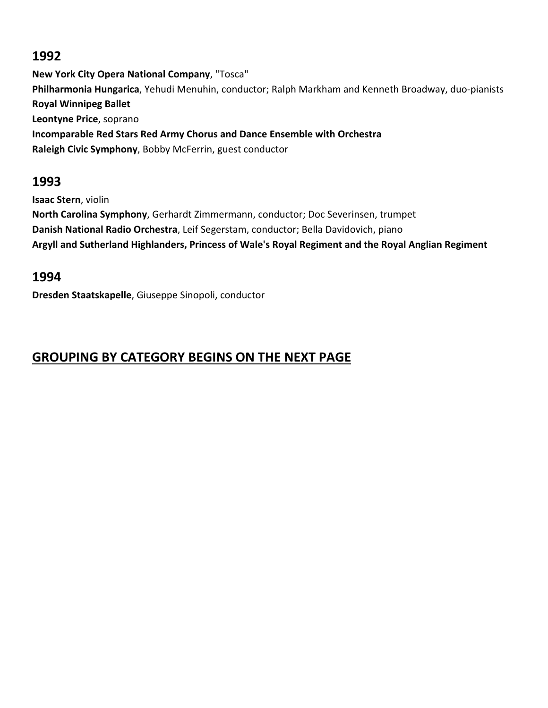## **1992**

**New York City Opera National Company**, "Tosca" **Philharmonia Hungarica**, Yehudi Menuhin, conductor; Ralph Markham and Kenneth Broadway, duo‐pianists **Royal Winnipeg Ballet Leontyne Price**, soprano **Incomparable Red Stars Red Army Chorus and Dance Ensemble with Orchestra Raleigh Civic Symphony**, Bobby McFerrin, guest conductor

# **1993**

**Isaac Stern**, violin **North Carolina Symphony**, Gerhardt Zimmermann, conductor; Doc Severinsen, trumpet **Danish National Radio Orchestra**, Leif Segerstam, conductor; Bella Davidovich, piano **Argyll and Sutherland Highlanders, Princess of Wale's Royal Regiment and the Royal Anglian Regiment** 

# **1994**

**Dresden Staatskapelle**, Giuseppe Sinopoli, conductor

# **GROUPING BY CATEGORY BEGINS ON THE NEXT PAGE**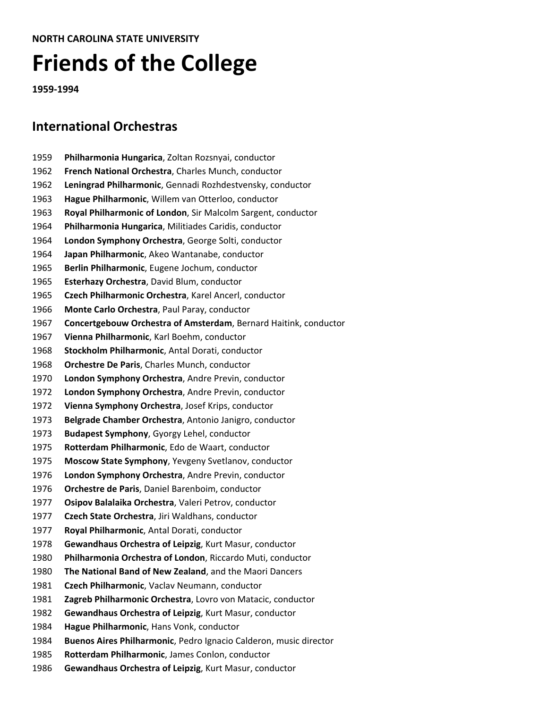# **Friends of the College**

**‐1994**

# **International Orchestras**

- **Philharmonia Hungarica**, Zoltan Rozsnyai, conductor **French National Orchestra**, Charles Munch, conductor **Leningrad Philharmonic**, Gennadi Rozhdestvensky, conductor **Hague Philharmonic**, Willem van Otterloo, conductor **Royal Philharmonic of London**, Sir Malcolm Sargent, conductor **Philharmonia Hungarica**, Militiades Caridis, conductor **London Symphony Orchestra**, George Solti, conductor **Japan Philharmonic**, Akeo Wantanabe, conductor **Berlin Philharmonic**, Eugene Jochum, conductor **Esterhazy Orchestra**, David Blum, conductor **Czech Philharmonic Orchestra**, Karel Ancerl, conductor **Monte Carlo Orchestra**, Paul Paray, conductor **Concertgebouw Orchestra of Amsterdam**, Bernard Haitink, conductor **Vienna Philharmonic**, Karl Boehm, conductor **Stockholm Philharmonic**, Antal Dorati, conductor **Orchestre De Paris**, Charles Munch, conductor **London Symphony Orchestra**, Andre Previn, conductor **London Symphony Orchestra**, Andre Previn, conductor **Vienna Symphony Orchestra**, Josef Krips, conductor **Belgrade Chamber Orchestra**, Antonio Janigro, conductor **Budapest Symphony**, Gyorgy Lehel, conductor **Rotterdam Philharmonic**, Edo de Waart, conductor **Moscow State Symphony**, Yevgeny Svetlanov, conductor **London Symphony Orchestra**, Andre Previn, conductor **Orchestre de Paris**, Daniel Barenboim, conductor **Osipov Balalaika Orchestra**, Valeri Petrov, conductor **Czech State Orchestra**, Jiri Waldhans, conductor **Royal Philharmonic**, Antal Dorati, conductor **Gewandhaus Orchestra of Leipzig**, Kurt Masur, conductor **Philharmonia Orchestra of London**, Riccardo Muti, conductor **The National Band of New Zealand**, and the Maori Dancers **Czech Philharmonic**, Vaclav Neumann, conductor **Zagreb Philharmonic Orchestra**, Lovro von Matacic, conductor **Gewandhaus Orchestra of Leipzig**, Kurt Masur, conductor **Hague Philharmonic**, Hans Vonk, conductor **Buenos Aires Philharmonic**, Pedro Ignacio Calderon, music director
- **Rotterdam Philharmonic**, James Conlon, conductor
- **Gewandhaus Orchestra of Leipzig**, Kurt Masur, conductor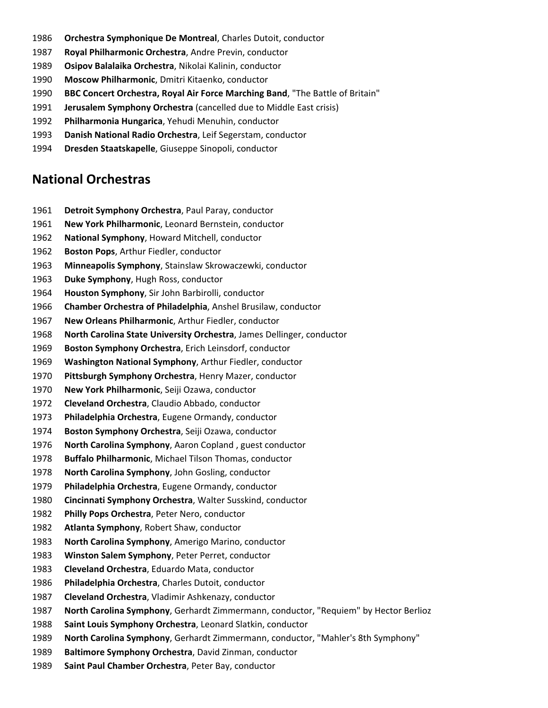- **Orchestra Symphonique De Montreal**, Charles Dutoit, conductor
- **Royal Philharmonic Orchestra**, Andre Previn, conductor
- **Osipov Balalaika Orchestra**, Nikolai Kalinin, conductor
- **Moscow Philharmonic**, Dmitri Kitaenko, conductor
- **BBC Concert Orchestra, Royal Air Force Marching Band**, "The Battle of Britain"
- **Jerusalem Symphony Orchestra** (cancelled due to Middle East crisis)
- **Philharmonia Hungarica**, Yehudi Menuhin, conductor
- **Danish National Radio Orchestra**, Leif Segerstam, conductor
- **Dresden Staatskapelle**, Giuseppe Sinopoli, conductor

#### **National Orchestras**

- **Detroit Symphony Orchestra**, Paul Paray, conductor
- **New York Philharmonic**, Leonard Bernstein, conductor
- **National Symphony**, Howard Mitchell, conductor
- **Boston Pops**, Arthur Fiedler, conductor
- **Minneapolis Symphony**, Stainslaw Skrowaczewki, conductor
- **Duke Symphony**, Hugh Ross, conductor
- **Houston Symphony**, Sir John Barbirolli, conductor
- **Chamber Orchestra of Philadelphia**, Anshel Brusilaw, conductor
- **New Orleans Philharmonic**, Arthur Fiedler, conductor
- **North Carolina State University Orchestra**, James Dellinger, conductor
- **Boston Symphony Orchestra**, Erich Leinsdorf, conductor
- **Washington National Symphony**, Arthur Fiedler, conductor
- **Pittsburgh Symphony Orchestra**, Henry Mazer, conductor
- **New York Philharmonic**, Seiji Ozawa, conductor
- **Cleveland Orchestra**, Claudio Abbado, conductor
- **Philadelphia Orchestra**, Eugene Ormandy, conductor
- **Boston Symphony Orchestra**, Seiji Ozawa, conductor
- **North Carolina Symphony**, Aaron Copland , guest conductor
- **Buffalo Philharmonic**, Michael Tilson Thomas, conductor
- **North Carolina Symphony**, John Gosling, conductor
- **Philadelphia Orchestra**, Eugene Ormandy, conductor
- **Cincinnati Symphony Orchestra**, Walter Susskind, conductor
- **Philly Pops Orchestra**, Peter Nero, conductor
- **Atlanta Symphony**, Robert Shaw, conductor
- **North Carolina Symphony**, Amerigo Marino, conductor
- **Winston Salem Symphony**, Peter Perret, conductor
- **Cleveland Orchestra**, Eduardo Mata, conductor
- **Philadelphia Orchestra**, Charles Dutoit, conductor
- **Cleveland Orchestra**, Vladimir Ashkenazy, conductor
- **North Carolina Symphony**, Gerhardt Zimmermann, conductor, "Requiem" by Hector Berlioz
- **Saint Louis Symphony Orchestra**, Leonard Slatkin, conductor
- **North Carolina Symphony**, Gerhardt Zimmermann, conductor, "Mahler's 8th Symphony"
- **Baltimore Symphony Orchestra**, David Zinman, conductor
- **Saint Paul Chamber Orchestra**, Peter Bay, conductor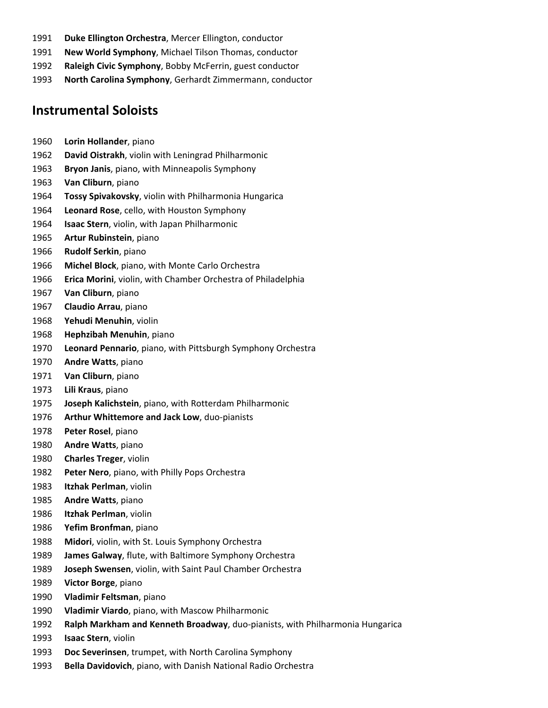- **Duke Ellington Orchestra**, Mercer Ellington, conductor
- **New World Symphony**, Michael Tilson Thomas, conductor
- **Raleigh Civic Symphony**, Bobby McFerrin, guest conductor
- **North Carolina Symphony**, Gerhardt Zimmermann, conductor

#### **Instrumental Soloists**

- **Lorin Hollander**, piano
- **David Oistrakh**, violin with Leningrad Philharmonic
- **Bryon Janis**, piano, with Minneapolis Symphony
- **Van Cliburn**, piano
- **Tossy Spivakovsky**, violin with Philharmonia Hungarica
- **Leonard Rose**, cello, with Houston Symphony
- **Isaac Stern**, violin, with Japan Philharmonic
- **Artur Rubinstein**, piano
- **Rudolf Serkin**, piano
- **Michel Block**, piano, with Monte Carlo Orchestra
- **Erica Morini**, violin, with Chamber Orchestra of Philadelphia
- **Van Cliburn**, piano
- **Claudio Arrau**, piano
- **Yehudi Menuhin**, violin
- **Hephzibah Menuhin**, piano
- **Leonard Pennario**, piano, with Pittsburgh Symphony Orchestra
- **Andre Watts**, piano
- **Van Cliburn**, piano
- **Lili Kraus**, piano
- **Joseph Kalichstein**, piano, with Rotterdam Philharmonic
- **Arthur Whittemore and Jack Low**, duo‐pianists
- **Peter Rosel**, piano
- **Andre Watts**, piano
- **Charles Treger**, violin
- **Peter Nero**, piano, with Philly Pops Orchestra
- **Itzhak Perlman**, violin
- **Andre Watts**, piano
- **Itzhak Perlman**, violin
- **Yefim Bronfman**, piano
- **Midori**, violin, with St. Louis Symphony Orchestra
- **James Galway**, flute, with Baltimore Symphony Orchestra
- **Joseph Swensen**, violin, with Saint Paul Chamber Orchestra
- **Victor Borge**, piano
- **Vladimir Feltsman**, piano
- **Vladimir Viardo**, piano, with Mascow Philharmonic
- **Ralph Markham and Kenneth Broadway**, duo‐pianists, with Philharmonia Hungarica
- **Isaac Stern**, violin
- **Doc Severinsen**, trumpet, with North Carolina Symphony
- **Bella Davidovich**, piano, with Danish National Radio Orchestra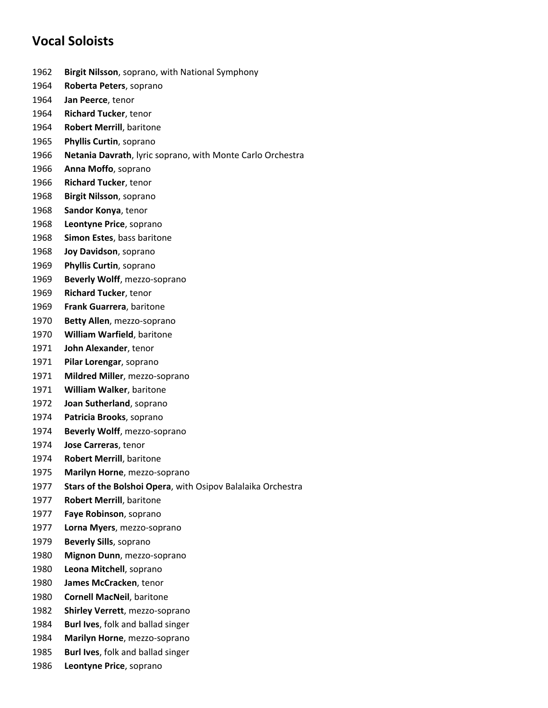# **Vocal Soloists**

- **Birgit Nilsson**, soprano, with National Symphony
- **Roberta Peters**, soprano
- **Jan Peerce**, tenor
- **Richard Tucker**, tenor
- **Robert Merrill**, baritone
- **Phyllis Curtin**, soprano
- **Netania Davrath**, lyric soprano, with Monte Carlo Orchestra
- **Anna Moffo**, soprano
- **Richard Tucker**, tenor
- **Birgit Nilsson**, soprano
- **Sandor Konya**, tenor
- **Leontyne Price**, soprano
- **Simon Estes**, bass baritone
- **Joy Davidson**, soprano
- **Phyllis Curtin**, soprano
- **Beverly Wolff**, mezzo‐soprano
- **Richard Tucker**, tenor
- **Frank Guarrera**, baritone
- **Betty Allen**, mezzo‐soprano
- **William Warfield**, baritone
- **John Alexander**, tenor
- **Pilar Lorengar**, soprano
- **Mildred Miller**, mezzo‐soprano
- **William Walker**, baritone
- **Joan Sutherland**, soprano
- **Patricia Brooks**, soprano
- **Beverly Wolff**, mezzo‐soprano
- **Jose Carreras**, tenor
- **Robert Merrill**, baritone
- **Marilyn Horne**, mezzo‐soprano
- **Stars of the Bolshoi Opera**, with Osipov Balalaika Orchestra
- **Robert Merrill**, baritone
- **Faye Robinson**, soprano
- **Lorna Myers**, mezzo‐soprano
- **Beverly Sills**, soprano
- **Mignon Dunn**, mezzo‐soprano
- **Leona Mitchell**, soprano
- **James McCracken**, tenor
- **Cornell MacNeil**, baritone
- **Shirley Verrett**, mezzo‐soprano
- **Burl Ives**, folk and ballad singer
- **Marilyn Horne**, mezzo‐soprano
- **Burl Ives**, folk and ballad singer
- **Leontyne Price**, soprano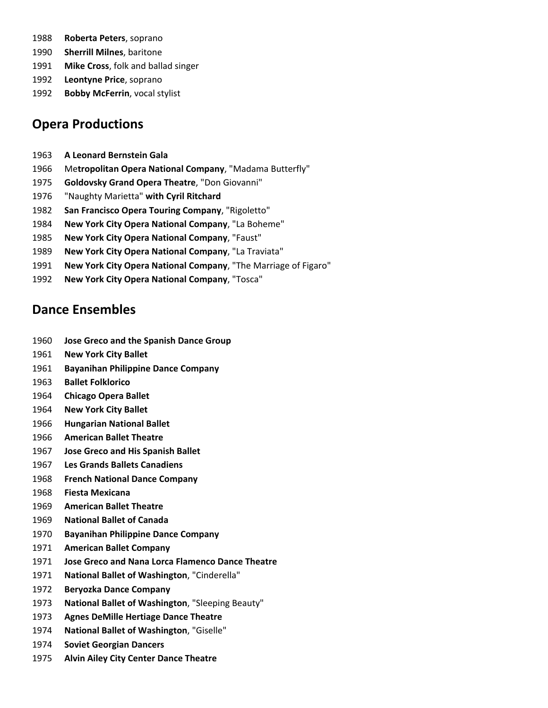- **Roberta Peters**, soprano
- **Sherrill Milnes**, baritone
- **Mike Cross**, folk and ballad singer
- **Leontyne Price**, soprano
- **Bobby McFerrin**, vocal stylist

# **Opera Productions**

- **A Leonard Bernstein Gala**
- Me**tropolitan Opera National Company**, "Madama Butterfly"
- **Goldovsky Grand Opera Theatre**, "Don Giovanni"
- "Naughty Marietta" **with Cyril Ritchard**
- **San Francisco Opera Touring Company**, "Rigoletto"
- **New York City Opera National Company**, "La Boheme"
- **New York City Opera National Company**, "Faust"
- **New York City Opera National Company**, "La Traviata"
- **New York City Opera National Company**, "The Marriage of Figaro"
- **New York City Opera National Company**, "Tosca"

# **Dance Ensembles**

- **Jose Greco and the Spanish Dance Group**
- **New York City Ballet**
- **Bayanihan Philippine Dance Company**
- **Ballet Folklorico**
- **Chicago Opera Ballet**
- **New York City Ballet**
- **Hungarian National Ballet**
- **American Ballet Theatre**
- **Jose Greco and His Spanish Ballet**
- **Les Grands Ballets Canadiens**
- **French National Dance Company**
- **Fiesta Mexicana**
- **American Ballet Theatre**
- **National Ballet of Canada**
- **Bayanihan Philippine Dance Company**
- **American Ballet Company**
- **Jose Greco and Nana Lorca Flamenco Dance Theatre**
- **National Ballet of Washington**, "Cinderella"
- **Beryozka Dance Company**
- **National Ballet of Washington**, "Sleeping Beauty"
- **Agnes DeMille Hertiage Dance Theatre**
- **National Ballet of Washington**, "Giselle"
- **Soviet Georgian Dancers**
- **Alvin Ailey City Center Dance Theatre**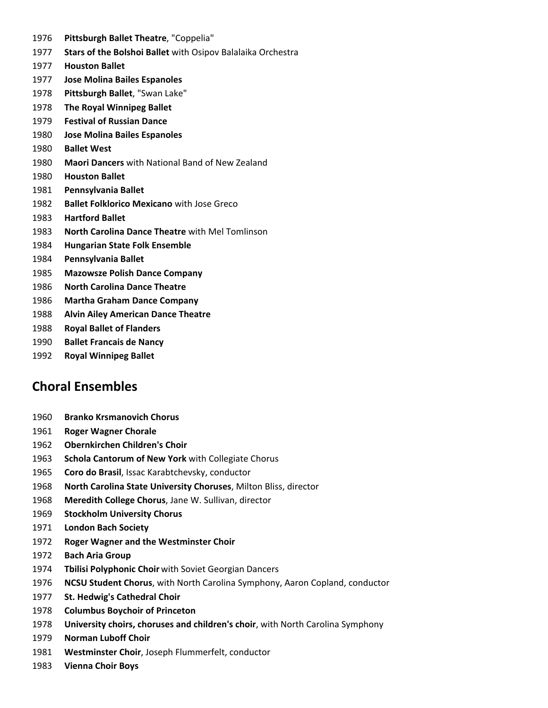- **Pittsburgh Ballet Theatre**, "Coppelia"
- **Stars of the Bolshoi Ballet** with Osipov Balalaika Orchestra
- **Houston Ballet**
- **Jose Molina Bailes Espanoles**
- **Pittsburgh Ballet**, "Swan Lake"
- **The Royal Winnipeg Ballet**
- **Festival of Russian Dance**
- **Jose Molina Bailes Espanoles**
- **Ballet West**
- **Maori Dancers** with National Band of New Zealand
- **Houston Ballet**
- **Pennsylvania Ballet**
- **Ballet Folklorico Mexicano** with Jose Greco
- **Hartford Ballet**
- **North Carolina Dance Theatre** with Mel Tomlinson
- **Hungarian State Folk Ensemble**
- **Pennsylvania Ballet**
- **Mazowsze Polish Dance Company**
- **North Carolina Dance Theatre**
- **Martha Graham Dance Company**
- **Alvin Ailey American Dance Theatre**
- **Royal Ballet of Flanders**
- **Ballet Francais de Nancy**
- **Royal Winnipeg Ballet**

## **Choral Ensembles**

- **Branko Krsmanovich Chorus**
- **Roger Wagner Chorale**
- **Obernkirchen Children's Choir**
- **Schola Cantorum of New York** with Collegiate Chorus
- **Coro do Brasil**, Issac Karabtchevsky, conductor
- **North Carolina State University Choruses**, Milton Bliss, director
- **Meredith College Chorus**, Jane W. Sullivan, director
- **Stockholm University Chorus**
- **London Bach Society**
- **Roger Wagner and the Westminster Choir**
- **Bach Aria Group**
- **Tbilisi Polyphonic Choir** with Soviet Georgian Dancers
- **NCSU Student Chorus**, with North Carolina Symphony, Aaron Copland, conductor
- **St. Hedwig's Cathedral Choir**
- **Columbus Boychoir of Princeton**
- **University choirs, choruses and children's choir**, with North Carolina Symphony
- **Norman Luboff Choir**
- **Westminster Choir**, Joseph Flummerfelt, conductor
- **Vienna Choir Boys**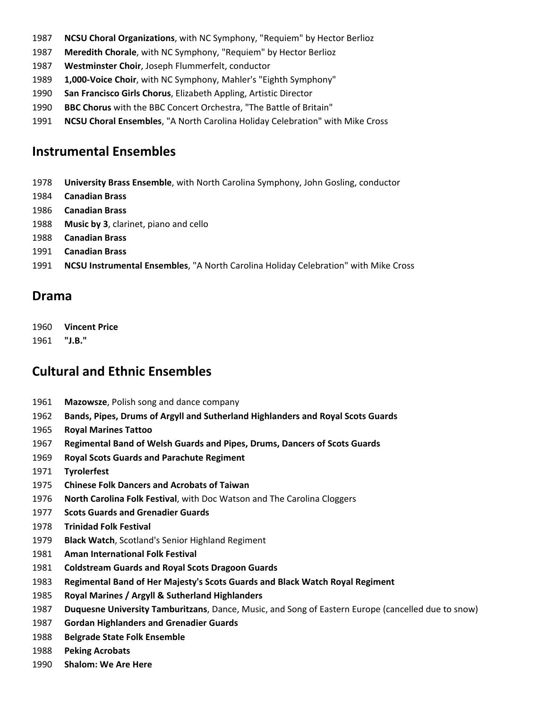- **NCSU Choral Organizations**, with NC Symphony, "Requiem" by Hector Berlioz
- **Meredith Chorale**, with NC Symphony, "Requiem" by Hector Berlioz
- **Westminster Choir**, Joseph Flummerfelt, conductor
- **1,000‐Voice Choir**, with NC Symphony, Mahler's "Eighth Symphony"
- **San Francisco Girls Chorus**, Elizabeth Appling, Artistic Director
- **BBC Chorus** with the BBC Concert Orchestra, "The Battle of Britain"
- **NCSU Choral Ensembles**, "A North Carolina Holiday Celebration" with Mike Cross

## **Instrumental Ensembles**

- **University Brass Ensemble**, with North Carolina Symphony, John Gosling, conductor
- **Canadian Brass**
- **Canadian Brass**
- **Music by 3**, clarinet, piano and cello
- **Canadian Brass**
- **Canadian Brass**
- **NCSU Instrumental Ensembles**, "A North Carolina Holiday Celebration" with Mike Cross

#### **Drama**

- **Vincent Price**
- **"J.B."**

# **Cultural and Ethnic Ensembles**

- **Mazowsze**, Polish song and dance company
- **Bands, Pipes, Drums of Argyll and Sutherland Highlanders and Royal Scots Guards**
- **Royal Marines Tattoo**
- **Regimental Band of Welsh Guards and Pipes, Drums, Dancers of Scots Guards**
- **Royal Scots Guards and Parachute Regiment**
- **Tyrolerfest**
- **Chinese Folk Dancers and Acrobats of Taiwan**
- **North Carolina Folk Festival**, with Doc Watson and The Carolina Cloggers
- **Scots Guards and Grenadier Guards**
- **Trinidad Folk Festival**
- **Black Watch**, Scotland's Senior Highland Regiment
- **Aman International Folk Festival**
- **Coldstream Guards and Royal Scots Dragoon Guards**
- **Regimental Band of Her Majesty's Scots Guards and Black Watch Royal Regiment**
- **Royal Marines / Argyll & Sutherland Highlanders**
- **Duquesne University Tamburitzans**, Dance, Music, and Song of Eastern Europe (cancelled due to snow)
- **Gordan Highlanders and Grenadier Guards**
- **Belgrade State Folk Ensemble**
- **Peking Acrobats**
- **Shalom: We Are Here**